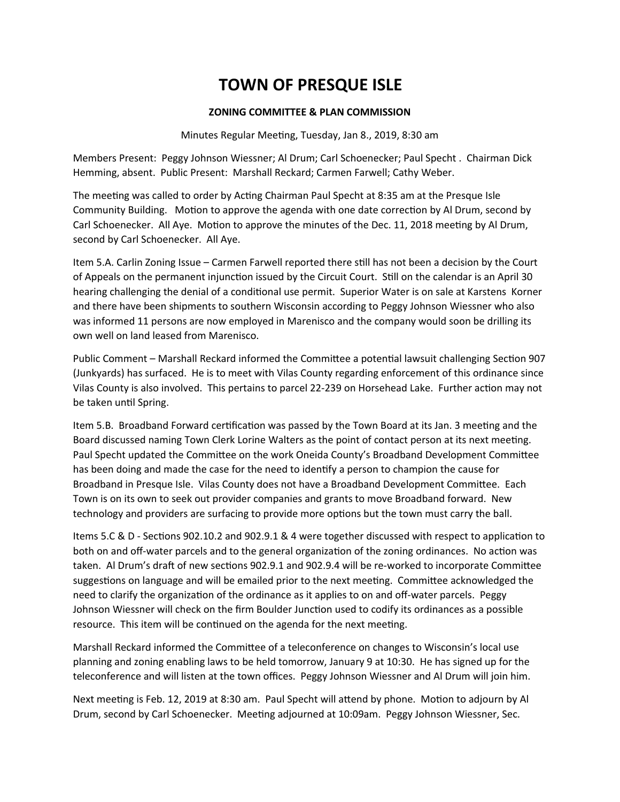#### **ZONING COMMITTEE & PLAN COMMISSION**

Minutes Regular Meeting, Tuesday, Jan 8., 2019, 8:30 am

Members Present: Peggy Johnson Wiessner; Al Drum; Carl Schoenecker; Paul Specht . Chairman Dick Hemming, absent. Public Present: Marshall Reckard; Carmen Farwell; Cathy Weber.

The meeting was called to order by Acting Chairman Paul Specht at 8:35 am at the Presque Isle Community Building. Motion to approve the agenda with one date correction by Al Drum, second by Carl Schoenecker. All Aye. Motion to approve the minutes of the Dec. 11, 2018 meeting by Al Drum, second by Carl Schoenecker. All Aye.

Item 5.A. Carlin Zoning Issue – Carmen Farwell reported there still has not been a decision by the Court of Appeals on the permanent injunction issued by the Circuit Court. Still on the calendar is an April 30 hearing challenging the denial of a conditional use permit. Superior Water is on sale at Karstens Korner and there have been shipments to southern Wisconsin according to Peggy Johnson Wiessner who also was informed 11 persons are now employed in Marenisco and the company would soon be drilling its own well on land leased from Marenisco.

Public Comment – Marshall Reckard informed the Committee a potential lawsuit challenging Section 907 (Junkyards) has surfaced. He is to meet with Vilas County regarding enforcement of this ordinance since Vilas County is also involved. This pertains to parcel 22-239 on Horsehead Lake. Further action may not be taken until Spring.

Item 5.B. Broadband Forward certification was passed by the Town Board at its Jan. 3 meeting and the Board discussed naming Town Clerk Lorine Walters as the point of contact person at its next meeting. Paul Specht updated the Committee on the work Oneida County's Broadband Development Committee has been doing and made the case for the need to identify a person to champion the cause for Broadband in Presque Isle. Vilas County does not have a Broadband Development Committee. Each Town is on its own to seek out provider companies and grants to move Broadband forward. New technology and providers are surfacing to provide more options but the town must carry the ball.

Items 5.C & D - Sections 902.10.2 and 902.9.1 & 4 were together discussed with respect to application to both on and off-water parcels and to the general organization of the zoning ordinances. No action was taken. Al Drum's draft of new sections 902.9.1 and 902.9.4 will be re-worked to incorporate Committee suggestions on language and will be emailed prior to the next meeting. Committee acknowledged the need to clarify the organization of the ordinance as it applies to on and off-water parcels. Peggy Johnson Wiessner will check on the firm Boulder Junction used to codify its ordinances as a possible resource. This item will be continued on the agenda for the next meeting.

Marshall Reckard informed the Committee of a teleconference on changes to Wisconsin's local use planning and zoning enabling laws to be held tomorrow, January 9 at 10:30. He has signed up for the teleconference and will listen at the town offices. Peggy Johnson Wiessner and Al Drum will join him.

Next meeting is Feb. 12, 2019 at 8:30 am. Paul Specht will attend by phone. Motion to adjourn by Al Drum, second by Carl Schoenecker. Meeting adjourned at 10:09am. Peggy Johnson Wiessner, Sec.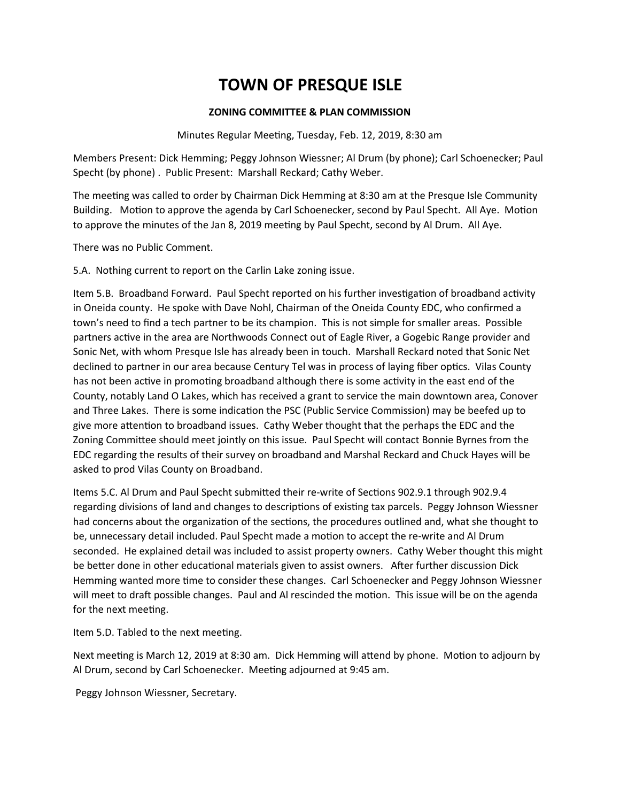### **ZONING COMMITTEE & PLAN COMMISSION**

Minutes Regular Meeting, Tuesday, Feb. 12, 2019, 8:30 am

Members Present: Dick Hemming; Peggy Johnson Wiessner; Al Drum (by phone); Carl Schoenecker; Paul Specht (by phone) . Public Present: Marshall Reckard; Cathy Weber.

The meeting was called to order by Chairman Dick Hemming at 8:30 am at the Presque Isle Community Building. Motion to approve the agenda by Carl Schoenecker, second by Paul Specht. All Aye. Motion to approve the minutes of the Jan 8, 2019 meeting by Paul Specht, second by Al Drum. All Aye.

There was no Public Comment.

5.A. Nothing current to report on the Carlin Lake zoning issue.

Item 5.B. Broadband Forward. Paul Specht reported on his further investigation of broadband activity in Oneida county. He spoke with Dave Nohl, Chairman of the Oneida County EDC, who confirmed a town's need to find a tech partner to be its champion. This is not simple for smaller areas. Possible partners active in the area are Northwoods Connect out of Eagle River, a Gogebic Range provider and Sonic Net, with whom Presque Isle has already been in touch. Marshall Reckard noted that Sonic Net declined to partner in our area because Century Tel was in process of laying fiber optics. Vilas County has not been active in promoting broadband although there is some activity in the east end of the County, notably Land O Lakes, which has received a grant to service the main downtown area, Conover and Three Lakes. There is some indication the PSC (Public Service Commission) may be beefed up to give more attention to broadband issues. Cathy Weber thought that the perhaps the EDC and the Zoning Committee should meet jointly on this issue. Paul Specht will contact Bonnie Byrnes from the EDC regarding the results of their survey on broadband and Marshal Reckard and Chuck Hayes will be asked to prod Vilas County on Broadband.

Items 5.C. Al Drum and Paul Specht submitted their re-write of Sections 902.9.1 through 902.9.4 regarding divisions of land and changes to descriptions of existing tax parcels. Peggy Johnson Wiessner had concerns about the organization of the sections, the procedures outlined and, what she thought to be, unnecessary detail included. Paul Specht made a motion to accept the re-write and Al Drum seconded. He explained detail was included to assist property owners. Cathy Weber thought this might be better done in other educational materials given to assist owners. After further discussion Dick Hemming wanted more time to consider these changes. Carl Schoenecker and Peggy Johnson Wiessner will meet to draft possible changes. Paul and Al rescinded the motion. This issue will be on the agenda for the next meeting.

Item 5.D. Tabled to the next meeting.

Next meeting is March 12, 2019 at 8:30 am. Dick Hemming will attend by phone. Motion to adjourn by Al Drum, second by Carl Schoenecker. Meeting adjourned at 9:45 am.

Peggy Johnson Wiessner, Secretary.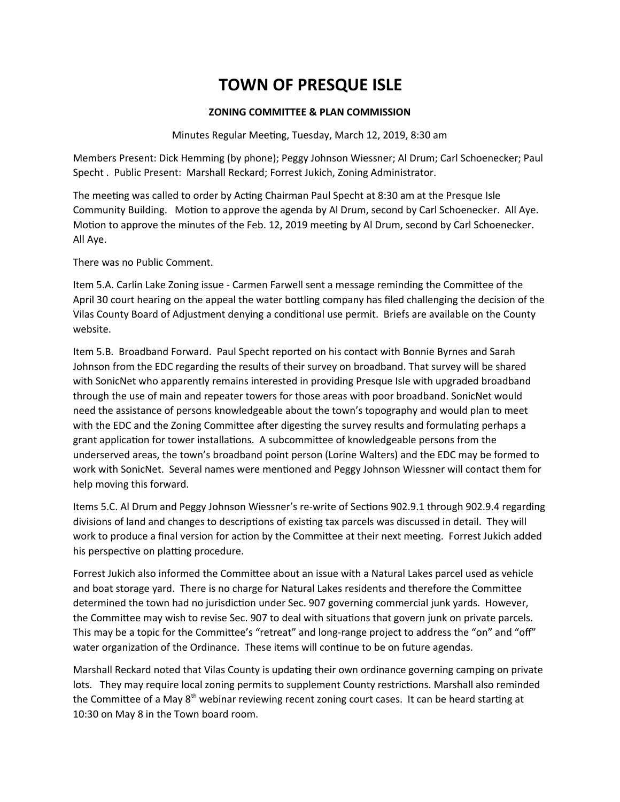### **ZONING COMMITTEE & PLAN COMMISSION**

Minutes Regular Meeting, Tuesday, March 12, 2019, 8:30 am

Members Present: Dick Hemming (by phone); Peggy Johnson Wiessner; Al Drum; Carl Schoenecker; Paul Specht . Public Present: Marshall Reckard; Forrest Jukich, Zoning Administrator.

The meeting was called to order by Acting Chairman Paul Specht at 8:30 am at the Presque Isle Community Building. Motion to approve the agenda by Al Drum, second by Carl Schoenecker. All Aye. Motion to approve the minutes of the Feb. 12, 2019 meeting by Al Drum, second by Carl Schoenecker. All Aye.

There was no Public Comment.

Item 5.A. Carlin Lake Zoning issue - Carmen Farwell sent a message reminding the Committee of the April 30 court hearing on the appeal the water bottling company has filed challenging the decision of the Vilas County Board of Adjustment denying a conditional use permit. Briefs are available on the County website.

Item 5.B. Broadband Forward. Paul Specht reported on his contact with Bonnie Byrnes and Sarah Johnson from the EDC regarding the results of their survey on broadband. That survey will be shared with SonicNet who apparently remains interested in providing Presque Isle with upgraded broadband through the use of main and repeater towers for those areas with poor broadband. SonicNet would need the assistance of persons knowledgeable about the town's topography and would plan to meet with the EDC and the Zoning Committee after digesting the survey results and formulating perhaps a grant application for tower installations. A subcommittee of knowledgeable persons from the underserved areas, the town's broadband point person (Lorine Walters) and the EDC may be formed to work with SonicNet. Several names were mentioned and Peggy Johnson Wiessner will contact them for help moving this forward.

Items 5.C. Al Drum and Peggy Johnson Wiessner's re-write of Sections 902.9.1 through 902.9.4 regarding divisions of land and changes to descriptions of existing tax parcels was discussed in detail. They will work to produce a final version for action by the Committee at their next meeting. Forrest Jukich added his perspective on platting procedure.

Forrest Jukich also informed the Committee about an issue with a Natural Lakes parcel used as vehicle and boat storage yard. There is no charge for Natural Lakes residents and therefore the Committee determined the town had no jurisdiction under Sec. 907 governing commercial junk yards. However, the Committee may wish to revise Sec. 907 to deal with situations that govern junk on private parcels. This may be a topic for the Committee's "retreat" and long-range project to address the "on" and "off" water organization of the Ordinance. These items will continue to be on future agendas.

Marshall Reckard noted that Vilas County is updating their own ordinance governing camping on private lots. They may require local zoning permits to supplement County restrictions. Marshall also reminded the Committee of a May 8<sup>th</sup> webinar reviewing recent zoning court cases. It can be heard starting at 10:30 on May 8 in the Town board room.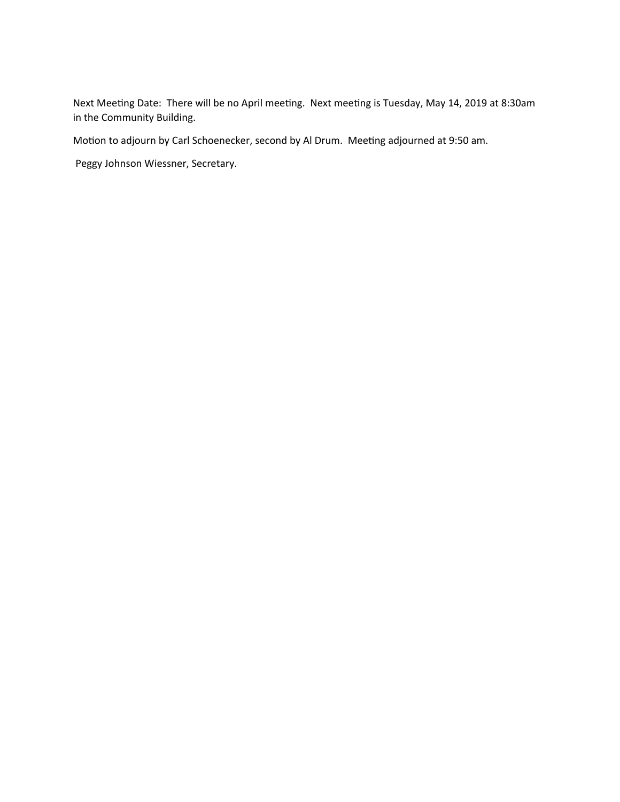Next Meeting Date: There will be no April meeting. Next meeting is Tuesday, May 14, 2019 at 8:30am in the Community Building.

Motion to adjourn by Carl Schoenecker, second by Al Drum. Meeting adjourned at 9:50 am.

Peggy Johnson Wiessner, Secretary.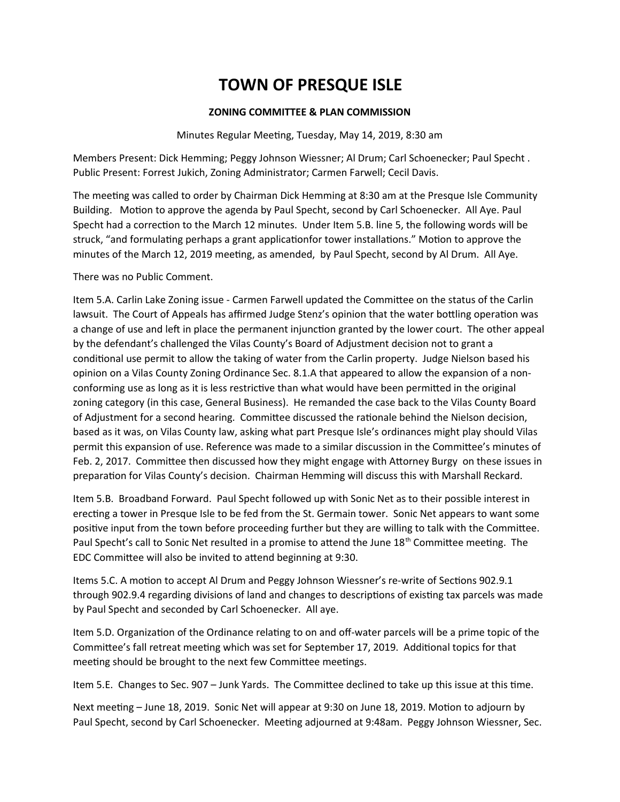## **ZONING COMMITTEE & PLAN COMMISSION**

Minutes Regular Meeting, Tuesday, May 14, 2019, 8:30 am

Members Present: Dick Hemming; Peggy Johnson Wiessner; Al Drum; Carl Schoenecker; Paul Specht . Public Present: Forrest Jukich, Zoning Administrator; Carmen Farwell; Cecil Davis.

The meeting was called to order by Chairman Dick Hemming at 8:30 am at the Presque Isle Community Building. Motion to approve the agenda by Paul Specht, second by Carl Schoenecker. All Aye. Paul Specht had a correction to the March 12 minutes. Under Item 5.B. line 5, the following words will be struck, "and formulating perhaps a grant applicationfor tower installations." Motion to approve the minutes of the March 12, 2019 meeting, as amended, by Paul Specht, second by Al Drum. All Aye.

There was no Public Comment.

Item 5.A. Carlin Lake Zoning issue - Carmen Farwell updated the Committee on the status of the Carlin lawsuit. The Court of Appeals has affirmed Judge Stenz's opinion that the water bottling operation was a change of use and left in place the permanent injunction granted by the lower court. The other appeal by the defendant's challenged the Vilas County's Board of Adjustment decision not to grant a conditional use permit to allow the taking of water from the Carlin property. Judge Nielson based his opinion on a Vilas County Zoning Ordinance Sec. 8.1.A that appeared to allow the expansion of a nonconforming use as long as it is less restrictive than what would have been permitted in the original zoning category (in this case, General Business). He remanded the case back to the Vilas County Board of Adjustment for a second hearing. Committee discussed the rationale behind the Nielson decision, based as it was, on Vilas County law, asking what part Presque Isle's ordinances might play should Vilas permit this expansion of use. Reference was made to a similar discussion in the Committee's minutes of Feb. 2, 2017. Committee then discussed how they might engage with Attorney Burgy on these issues in preparation for Vilas County's decision. Chairman Hemming will discuss this with Marshall Reckard.

Item 5.B. Broadband Forward. Paul Specht followed up with Sonic Net as to their possible interest in erecting a tower in Presque Isle to be fed from the St. Germain tower. Sonic Net appears to want some positive input from the town before proceeding further but they are willing to talk with the Committee. Paul Specht's call to Sonic Net resulted in a promise to attend the June 18<sup>th</sup> Committee meeting. The EDC Committee will also be invited to attend beginning at 9:30.

Items 5.C. A motion to accept Al Drum and Peggy Johnson Wiessner's re-write of Sections 902.9.1 through 902.9.4 regarding divisions of land and changes to descriptions of existing tax parcels was made by Paul Specht and seconded by Carl Schoenecker. All aye.

Item 5.D. Organization of the Ordinance relating to on and off-water parcels will be a prime topic of the Committee's fall retreat meeting which was set for September 17, 2019. Additional topics for that meeting should be brought to the next few Committee meetings.

Item 5.E. Changes to Sec. 907 – Junk Yards. The Committee declined to take up this issue at this time.

Next meeting – June 18, 2019. Sonic Net will appear at 9:30 on June 18, 2019. Motion to adjourn by Paul Specht, second by Carl Schoenecker. Meeting adjourned at 9:48am. Peggy Johnson Wiessner, Sec.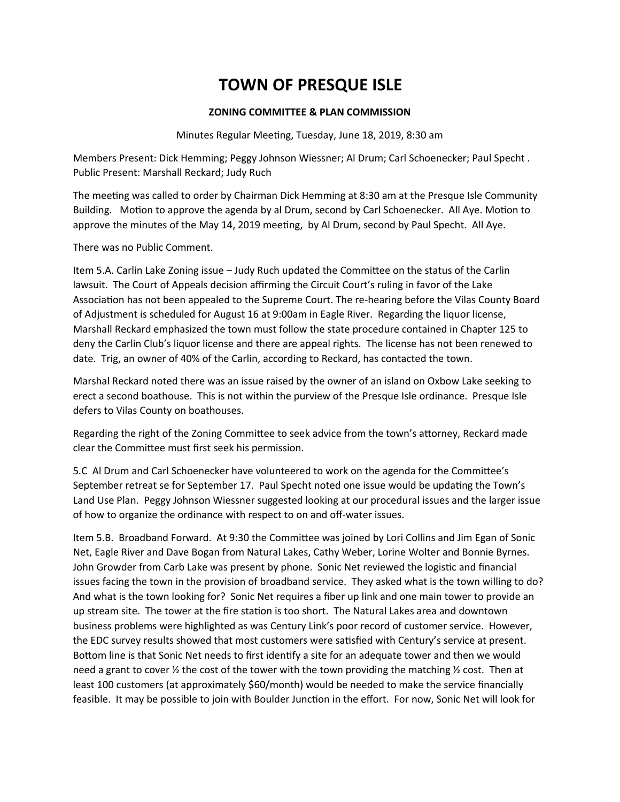### **ZONING COMMITTEE & PLAN COMMISSION**

Minutes Regular Meeting, Tuesday, June 18, 2019, 8:30 am

Members Present: Dick Hemming; Peggy Johnson Wiessner; Al Drum; Carl Schoenecker; Paul Specht . Public Present: Marshall Reckard; Judy Ruch

The meeting was called to order by Chairman Dick Hemming at 8:30 am at the Presque Isle Community Building. Motion to approve the agenda by al Drum, second by Carl Schoenecker. All Aye. Motion to approve the minutes of the May 14, 2019 meeting, by Al Drum, second by Paul Specht. All Aye.

There was no Public Comment.

Item 5.A. Carlin Lake Zoning issue – Judy Ruch updated the Committee on the status of the Carlin lawsuit. The Court of Appeals decision affirming the Circuit Court's ruling in favor of the Lake Association has not been appealed to the Supreme Court. The re-hearing before the Vilas County Board of Adjustment is scheduled for August 16 at 9:00am in Eagle River. Regarding the liquor license, Marshall Reckard emphasized the town must follow the state procedure contained in Chapter 125 to deny the Carlin Club's liquor license and there are appeal rights. The license has not been renewed to date. Trig, an owner of 40% of the Carlin, according to Reckard, has contacted the town.

Marshal Reckard noted there was an issue raised by the owner of an island on Oxbow Lake seeking to erect a second boathouse. This is not within the purview of the Presque Isle ordinance. Presque Isle defers to Vilas County on boathouses.

Regarding the right of the Zoning Committee to seek advice from the town's attorney, Reckard made clear the Committee must first seek his permission.

5.C Al Drum and Carl Schoenecker have volunteered to work on the agenda for the Committee's September retreat se for September 17. Paul Specht noted one issue would be updating the Town's Land Use Plan. Peggy Johnson Wiessner suggested looking at our procedural issues and the larger issue of how to organize the ordinance with respect to on and off-water issues.

Item 5.B. Broadband Forward. At 9:30 the Committee was joined by Lori Collins and Jim Egan of Sonic Net, Eagle River and Dave Bogan from Natural Lakes, Cathy Weber, Lorine Wolter and Bonnie Byrnes. John Growder from Carb Lake was present by phone. Sonic Net reviewed the logistic and financial issues facing the town in the provision of broadband service. They asked what is the town willing to do? And what is the town looking for? Sonic Net requires a fiber up link and one main tower to provide an up stream site. The tower at the fire station is too short. The Natural Lakes area and downtown business problems were highlighted as was Century Link's poor record of customer service. However, the EDC survey results showed that most customers were satisfied with Century's service at present. Bottom line is that Sonic Net needs to first identify a site for an adequate tower and then we would need a grant to cover  $\frac{1}{2}$  the cost of the tower with the town providing the matching  $\frac{1}{2}$  cost. Then at least 100 customers (at approximately \$60/month) would be needed to make the service financially feasible. It may be possible to join with Boulder Junction in the effort. For now, Sonic Net will look for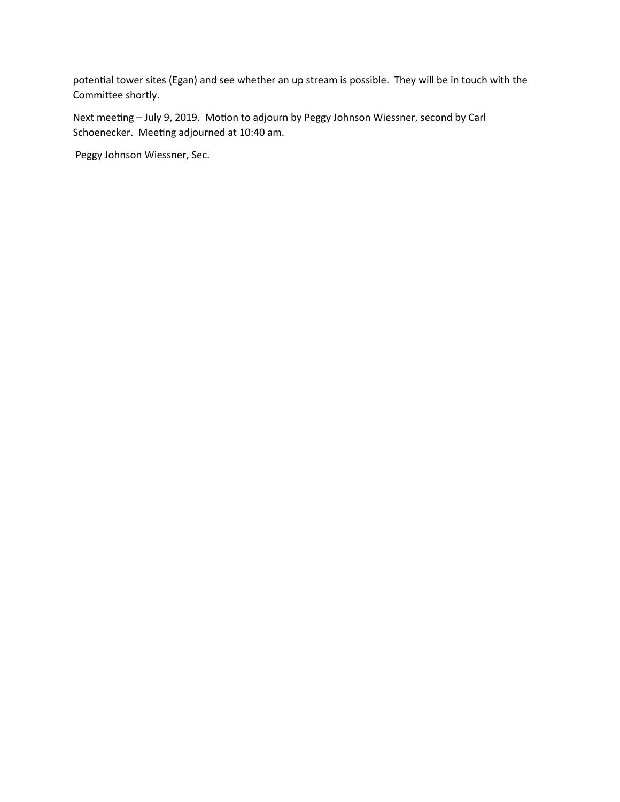potential tower sites (Egan) and see whether an up stream is possible. They will be in touch with the Committee shortly.

Next meeting – July 9, 2019. Motion to adjourn by Peggy Johnson Wiessner, second by Carl Schoenecker. Meeting adjourned at 10:40 am.

Peggy Johnson Wiessner, Sec.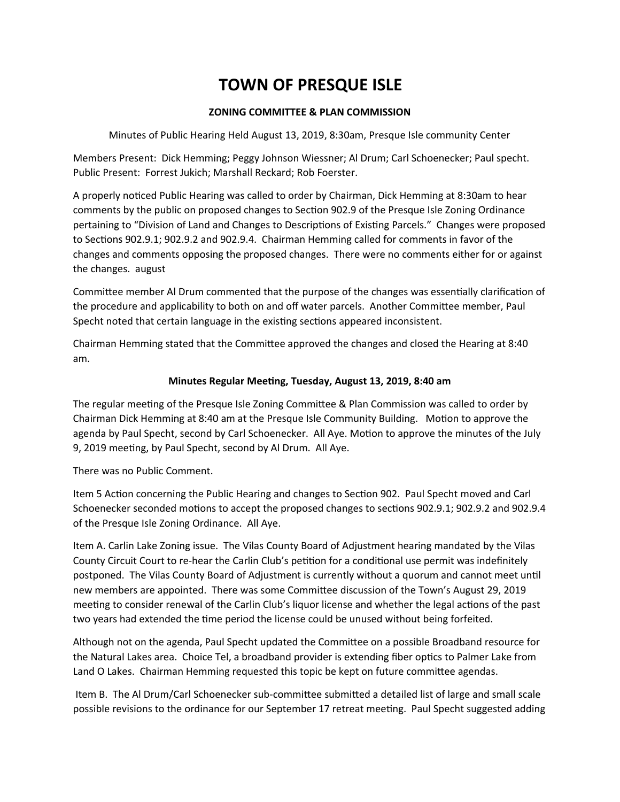## **ZONING COMMITTEE & PLAN COMMISSION**

Minutes of Public Hearing Held August 13, 2019, 8:30am, Presque Isle community Center

Members Present: Dick Hemming; Peggy Johnson Wiessner; Al Drum; Carl Schoenecker; Paul specht. Public Present: Forrest Jukich; Marshall Reckard; Rob Foerster.

A properly noticed Public Hearing was called to order by Chairman, Dick Hemming at 8:30am to hear comments by the public on proposed changes to Section 902.9 of the Presque Isle Zoning Ordinance pertaining to "Division of Land and Changes to Descriptions of Existing Parcels." Changes were proposed to Sections 902.9.1; 902.9.2 and 902.9.4. Chairman Hemming called for comments in favor of the changes and comments opposing the proposed changes. There were no comments either for or against the changes. august

Committee member Al Drum commented that the purpose of the changes was essentially clarification of the procedure and applicability to both on and off water parcels. Another Committee member, Paul Specht noted that certain language in the existing sections appeared inconsistent.

Chairman Hemming stated that the Committee approved the changes and closed the Hearing at 8:40 am.

## **Minutes Regular Meeting, Tuesday, August 13, 2019, 8:40 am**

The regular meeting of the Presque Isle Zoning Committee & Plan Commission was called to order by Chairman Dick Hemming at 8:40 am at the Presque Isle Community Building. Motion to approve the agenda by Paul Specht, second by Carl Schoenecker. All Aye. Motion to approve the minutes of the July 9, 2019 meeting, by Paul Specht, second by Al Drum. All Aye.

There was no Public Comment.

Item 5 Action concerning the Public Hearing and changes to Section 902. Paul Specht moved and Carl Schoenecker seconded motions to accept the proposed changes to sections 902.9.1; 902.9.2 and 902.9.4 of the Presque Isle Zoning Ordinance. All Aye.

Item A. Carlin Lake Zoning issue. The Vilas County Board of Adjustment hearing mandated by the Vilas County Circuit Court to re-hear the Carlin Club's petition for a conditional use permit was indefinitely postponed. The Vilas County Board of Adjustment is currently without a quorum and cannot meet until new members are appointed. There was some Committee discussion of the Town's August 29, 2019 meeting to consider renewal of the Carlin Club's liquor license and whether the legal actions of the past two years had extended the time period the license could be unused without being forfeited.

Although not on the agenda, Paul Specht updated the Committee on a possible Broadband resource for the Natural Lakes area. Choice Tel, a broadband provider is extending fiber optics to Palmer Lake from Land O Lakes. Chairman Hemming requested this topic be kept on future committee agendas.

 Item B. The Al Drum/Carl Schoenecker sub-committee submitted a detailed list of large and small scale possible revisions to the ordinance for our September 17 retreat meeting. Paul Specht suggested adding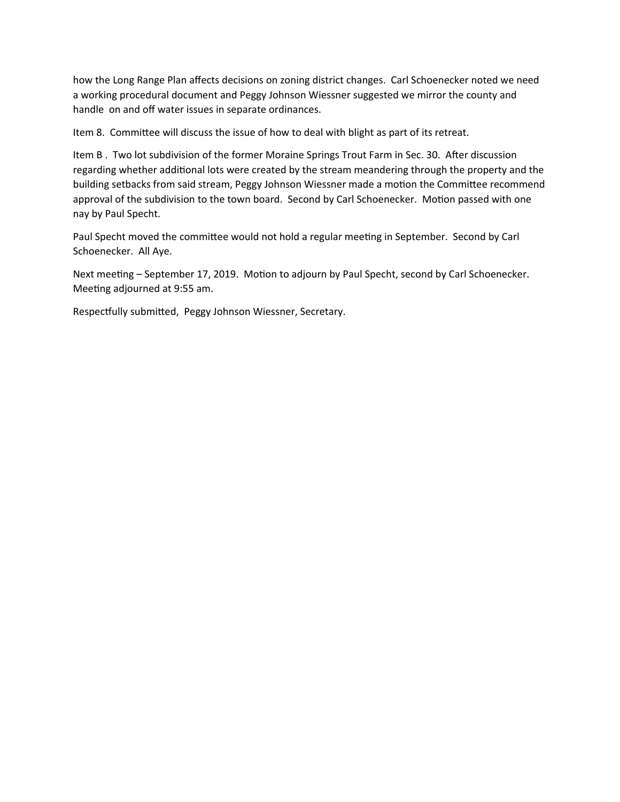how the Long Range Plan affects decisions on zoning district changes. Carl Schoenecker noted we need a working procedural document and Peggy Johnson Wiessner suggested we mirror the county and handle on and off water issues in separate ordinances.

Item 8. Committee will discuss the issue of how to deal with blight as part of its retreat.

Item B . Two lot subdivision of the former Moraine Springs Trout Farm in Sec. 30. After discussion regarding whether additional lots were created by the stream meandering through the property and the building setbacks from said stream, Peggy Johnson Wiessner made a motion the Committee recommend approval of the subdivision to the town board. Second by Carl Schoenecker. Motion passed with one nay by Paul Specht.

Paul Specht moved the committee would not hold a regular meeting in September. Second by Carl Schoenecker. All Aye.

Next meeting – September 17, 2019. Motion to adjourn by Paul Specht, second by Carl Schoenecker. Meeting adjourned at 9:55 am.

Respectfully submitted, Peggy Johnson Wiessner, Secretary.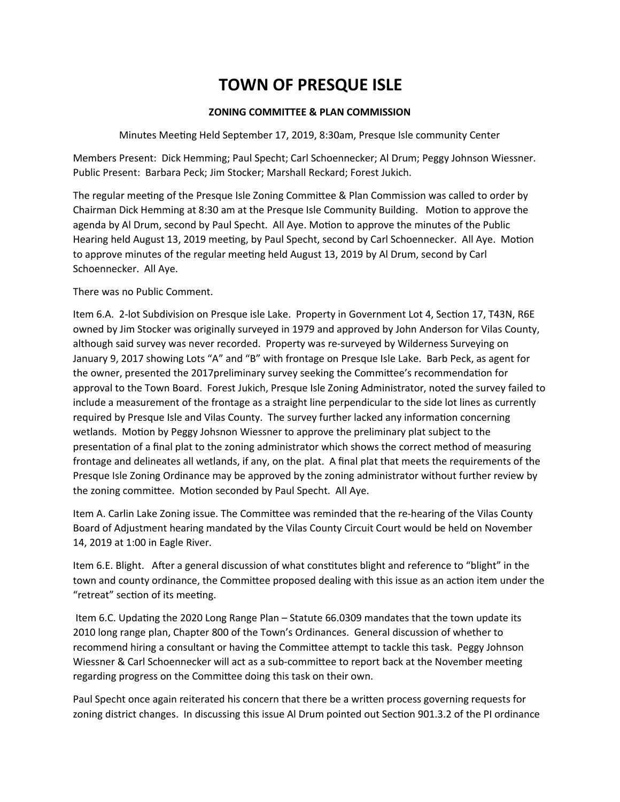## **ZONING COMMITTEE & PLAN COMMISSION**

Minutes Meeting Held September 17, 2019, 8:30am, Presque Isle community Center

Members Present: Dick Hemming; Paul Specht; Carl Schoennecker; Al Drum; Peggy Johnson Wiessner. Public Present: Barbara Peck; Jim Stocker; Marshall Reckard; Forest Jukich.

The regular meeting of the Presque Isle Zoning Committee & Plan Commission was called to order by Chairman Dick Hemming at 8:30 am at the Presque Isle Community Building. Motion to approve the agenda by Al Drum, second by Paul Specht. All Aye. Motion to approve the minutes of the Public Hearing held August 13, 2019 meeting, by Paul Specht, second by Carl Schoennecker. All Aye. Motion to approve minutes of the regular meeting held August 13, 2019 by Al Drum, second by Carl Schoennecker. All Aye.

There was no Public Comment.

Item 6.A. 2-lot Subdivision on Presque isle Lake. Property in Government Lot 4, Section 17, T43N, R6E owned by Jim Stocker was originally surveyed in 1979 and approved by John Anderson for Vilas County, although said survey was never recorded. Property was re-surveyed by Wilderness Surveying on January 9, 2017 showing Lots "A" and "B" with frontage on Presque Isle Lake. Barb Peck, as agent for the owner, presented the 2017preliminary survey seeking the Committee's recommendation for approval to the Town Board. Forest Jukich, Presque Isle Zoning Administrator, noted the survey failed to include a measurement of the frontage as a straight line perpendicular to the side lot lines as currently required by Presque Isle and Vilas County. The survey further lacked any information concerning wetlands. Motion by Peggy Johsnon Wiessner to approve the preliminary plat subject to the presentation of a final plat to the zoning administrator which shows the correct method of measuring frontage and delineates all wetlands, if any, on the plat. A final plat that meets the requirements of the Presque Isle Zoning Ordinance may be approved by the zoning administrator without further review by the zoning committee. Motion seconded by Paul Specht. All Aye.

Item A. Carlin Lake Zoning issue. The Committee was reminded that the re-hearing of the Vilas County Board of Adjustment hearing mandated by the Vilas County Circuit Court would be held on November 14, 2019 at 1:00 in Eagle River.

Item 6.E. Blight. After a general discussion of what constitutes blight and reference to "blight" in the town and county ordinance, the Committee proposed dealing with this issue as an action item under the "retreat" section of its meeting.

 Item 6.C. Updating the 2020 Long Range Plan – Statute 66.0309 mandates that the town update its 2010 long range plan, Chapter 800 of the Town's Ordinances. General discussion of whether to recommend hiring a consultant or having the Committee attempt to tackle this task. Peggy Johnson Wiessner & Carl Schoennecker will act as a sub-committee to report back at the November meeting regarding progress on the Committee doing this task on their own.

Paul Specht once again reiterated his concern that there be a written process governing requests for zoning district changes. In discussing this issue Al Drum pointed out Section 901.3.2 of the PI ordinance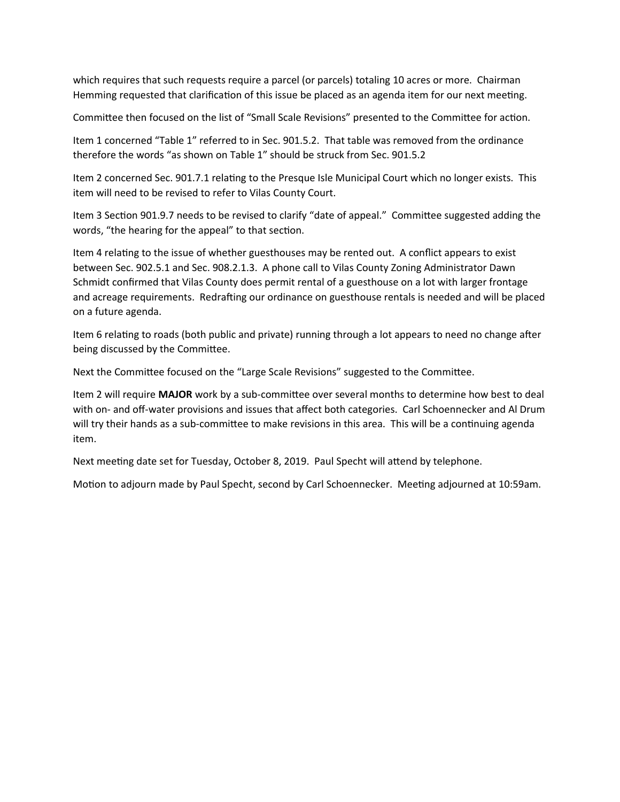which requires that such requests require a parcel (or parcels) totaling 10 acres or more. Chairman Hemming requested that clarification of this issue be placed as an agenda item for our next meeting.

Committee then focused on the list of "Small Scale Revisions" presented to the Committee for action.

Item 1 concerned "Table 1" referred to in Sec. 901.5.2. That table was removed from the ordinance therefore the words "as shown on Table 1" should be struck from Sec. 901.5.2

Item 2 concerned Sec. 901.7.1 relating to the Presque Isle Municipal Court which no longer exists. This item will need to be revised to refer to Vilas County Court.

Item 3 Section 901.9.7 needs to be revised to clarify "date of appeal." Committee suggested adding the words, "the hearing for the appeal" to that section.

Item 4 relating to the issue of whether guesthouses may be rented out. A conflict appears to exist between Sec. 902.5.1 and Sec. 908.2.1.3. A phone call to Vilas County Zoning Administrator Dawn Schmidt confirmed that Vilas County does permit rental of a guesthouse on a lot with larger frontage and acreage requirements. Redrafting our ordinance on guesthouse rentals is needed and will be placed on a future agenda.

Item 6 relating to roads (both public and private) running through a lot appears to need no change after being discussed by the Committee.

Next the Committee focused on the "Large Scale Revisions" suggested to the Committee.

Item 2 will require **MAJOR** work by a sub-committee over several months to determine how best to deal with on- and off-water provisions and issues that affect both categories. Carl Schoennecker and Al Drum will try their hands as a sub-committee to make revisions in this area. This will be a continuing agenda item.

Next meeting date set for Tuesday, October 8, 2019. Paul Specht will attend by telephone.

Motion to adjourn made by Paul Specht, second by Carl Schoennecker. Meeting adjourned at 10:59am.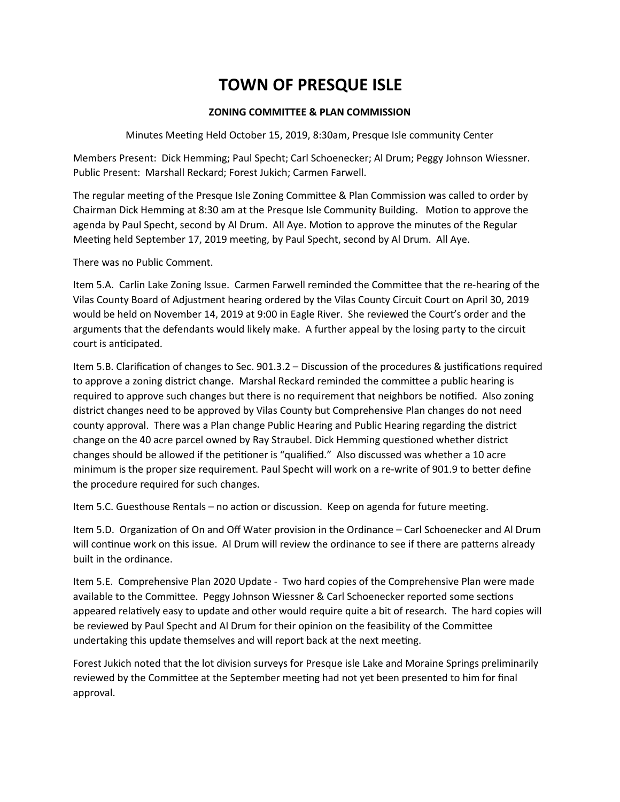## **ZONING COMMITTEE & PLAN COMMISSION**

Minutes Meeting Held October 15, 2019, 8:30am, Presque Isle community Center

Members Present: Dick Hemming; Paul Specht; Carl Schoenecker; Al Drum; Peggy Johnson Wiessner. Public Present: Marshall Reckard; Forest Jukich; Carmen Farwell.

The regular meeting of the Presque Isle Zoning Committee & Plan Commission was called to order by Chairman Dick Hemming at 8:30 am at the Presque Isle Community Building. Motion to approve the agenda by Paul Specht, second by Al Drum. All Aye. Motion to approve the minutes of the Regular Meeting held September 17, 2019 meeting, by Paul Specht, second by Al Drum. All Aye.

There was no Public Comment.

Item 5.A. Carlin Lake Zoning Issue. Carmen Farwell reminded the Committee that the re-hearing of the Vilas County Board of Adjustment hearing ordered by the Vilas County Circuit Court on April 30, 2019 would be held on November 14, 2019 at 9:00 in Eagle River. She reviewed the Court's order and the arguments that the defendants would likely make. A further appeal by the losing party to the circuit court is anticipated.

Item 5.B. Clarification of changes to Sec. 901.3.2 – Discussion of the procedures & justifications required to approve a zoning district change. Marshal Reckard reminded the committee a public hearing is required to approve such changes but there is no requirement that neighbors be notified. Also zoning district changes need to be approved by Vilas County but Comprehensive Plan changes do not need county approval. There was a Plan change Public Hearing and Public Hearing regarding the district change on the 40 acre parcel owned by Ray Straubel. Dick Hemming questioned whether district changes should be allowed if the petitioner is "qualified." Also discussed was whether a 10 acre minimum is the proper size requirement. Paul Specht will work on a re-write of 901.9 to better define the procedure required for such changes.

Item 5.C. Guesthouse Rentals – no action or discussion. Keep on agenda for future meeting.

Item 5.D. Organization of On and Off Water provision in the Ordinance – Carl Schoenecker and Al Drum will continue work on this issue. Al Drum will review the ordinance to see if there are patterns already built in the ordinance.

Item 5.E. Comprehensive Plan 2020 Update - Two hard copies of the Comprehensive Plan were made available to the Committee. Peggy Johnson Wiessner & Carl Schoenecker reported some sections appeared relatively easy to update and other would require quite a bit of research. The hard copies will be reviewed by Paul Specht and Al Drum for their opinion on the feasibility of the Committee undertaking this update themselves and will report back at the next meeting.

Forest Jukich noted that the lot division surveys for Presque isle Lake and Moraine Springs preliminarily reviewed by the Committee at the September meeting had not yet been presented to him for final approval.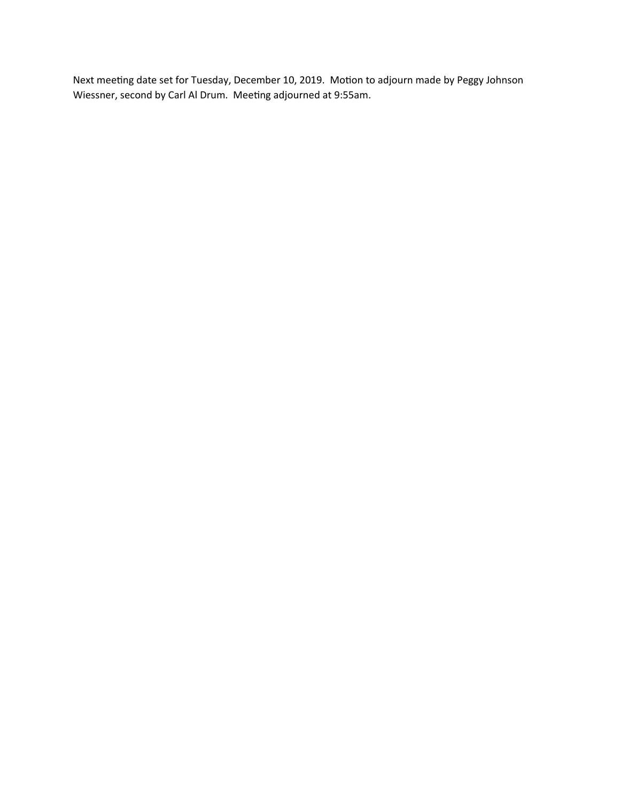Next meeting date set for Tuesday, December 10, 2019. Motion to adjourn made by Peggy Johnson Wiessner, second by Carl Al Drum. Meeting adjourned at 9:55am.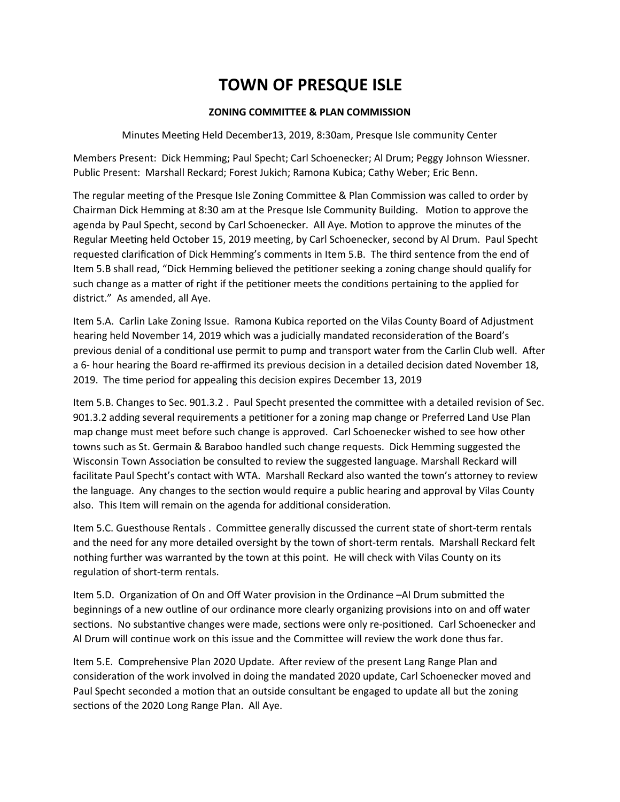## **ZONING COMMITTEE & PLAN COMMISSION**

Minutes Meeting Held December13, 2019, 8:30am, Presque Isle community Center

Members Present: Dick Hemming; Paul Specht; Carl Schoenecker; Al Drum; Peggy Johnson Wiessner. Public Present: Marshall Reckard; Forest Jukich; Ramona Kubica; Cathy Weber; Eric Benn.

The regular meeting of the Presque Isle Zoning Committee & Plan Commission was called to order by Chairman Dick Hemming at 8:30 am at the Presque Isle Community Building. Motion to approve the agenda by Paul Specht, second by Carl Schoenecker. All Aye. Motion to approve the minutes of the Regular Meeting held October 15, 2019 meeting, by Carl Schoenecker, second by Al Drum. Paul Specht requested clarification of Dick Hemming's comments in Item 5.B. The third sentence from the end of Item 5.B shall read, "Dick Hemming believed the petitioner seeking a zoning change should qualify for such change as a matter of right if the petitioner meets the conditions pertaining to the applied for district." As amended, all Aye.

Item 5.A. Carlin Lake Zoning Issue. Ramona Kubica reported on the Vilas County Board of Adjustment hearing held November 14, 2019 which was a judicially mandated reconsideration of the Board's previous denial of a conditional use permit to pump and transport water from the Carlin Club well. After a 6- hour hearing the Board re-affirmed its previous decision in a detailed decision dated November 18, 2019. The time period for appealing this decision expires December 13, 2019

Item 5.B. Changes to Sec. 901.3.2 . Paul Specht presented the committee with a detailed revision of Sec. 901.3.2 adding several requirements a petitioner for a zoning map change or Preferred Land Use Plan map change must meet before such change is approved. Carl Schoenecker wished to see how other towns such as St. Germain & Baraboo handled such change requests. Dick Hemming suggested the Wisconsin Town Association be consulted to review the suggested language. Marshall Reckard will facilitate Paul Specht's contact with WTA. Marshall Reckard also wanted the town's attorney to review the language. Any changes to the section would require a public hearing and approval by Vilas County also. This Item will remain on the agenda for additional consideration.

Item 5.C. Guesthouse Rentals . Committee generally discussed the current state of short-term rentals and the need for any more detailed oversight by the town of short-term rentals. Marshall Reckard felt nothing further was warranted by the town at this point. He will check with Vilas County on its regulation of short-term rentals.

Item 5.D. Organization of On and Off Water provision in the Ordinance –Al Drum submitted the beginnings of a new outline of our ordinance more clearly organizing provisions into on and off water sections. No substantive changes were made, sections were only re-positioned. Carl Schoenecker and Al Drum will continue work on this issue and the Committee will review the work done thus far.

Item 5.E. Comprehensive Plan 2020 Update. After review of the present Lang Range Plan and consideration of the work involved in doing the mandated 2020 update, Carl Schoenecker moved and Paul Specht seconded a motion that an outside consultant be engaged to update all but the zoning sections of the 2020 Long Range Plan. All Aye.